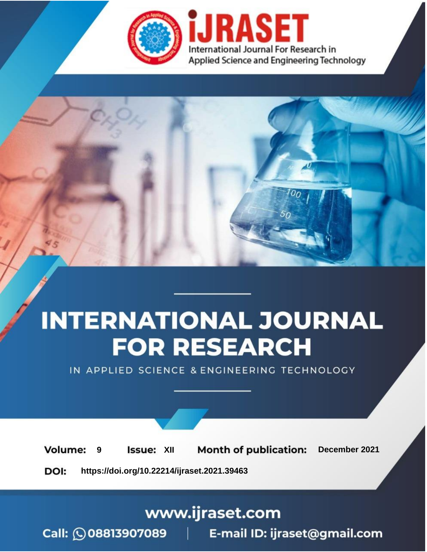

# **INTERNATIONAL JOURNAL FOR RESEARCH**

IN APPLIED SCIENCE & ENGINEERING TECHNOLOGY

**Month of publication: Volume: Issue: XII** December 2021 9 DOI: https://doi.org/10.22214/ijraset.2021.39463

www.ijraset.com

Call: 008813907089 | E-mail ID: ijraset@gmail.com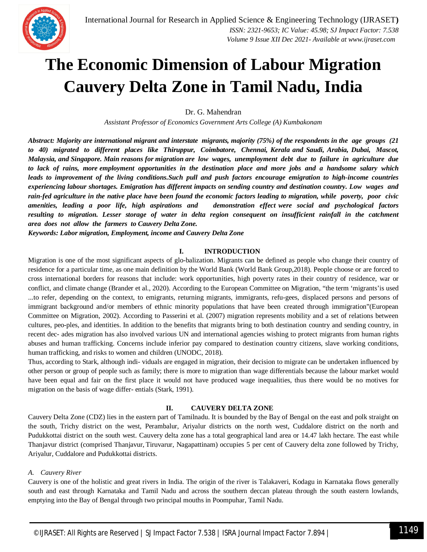

### **The Economic Dimension of Labour Migration Cauvery Delta Zone in Tamil Nadu, India**

Dr. G. Mahendran

*Assistant Professor of Economics Government Arts College (A) Kumbakonam* 

*Abstract: Majority are international migrant and interstate migrants, majority (75%) of the respondents in the age groups (21 to 40) migrated to different places like Thiruppur, Coimbatore, Chennai, Kerala and Saudi, Arabia, Dubai, Mascot, Malaysia, and Singapore. Main reasons for migration are low wages, unemployment debt due to failure in agriculture due to lack of rains, more employment opportunities in the destination place and more jobs and a handsome salary which leads to improvement of the living conditions.Such pull and push factors encourage emigration to high-income countries experiencing labour shortages. Emigration has different impacts on sending country and destination country. Low wages and rain-fed agriculture in the native place have been found the economic factors leading to migration, while poverty, poor civic amenities, leading a poor life, high aspirations and demonstration effect were social and psychological factors*  resulting to migration. Lesser storage of water in delta region consequent on insufficient rainfall in the catchment *area does not allow the farmers to Cauvery Delta Zone.*

*Keywords: Labor migration, Employment, income and Cauvery Delta Zone*

#### **I. INTRODUCTION**

Migration is one of the most significant aspects of glo-balization. Migrants can be defined as people who change their country of residence for a particular time, as one main definition by the World Bank (World Bank Group,2018). People choose or are forced to cross international borders for reasons that include: work opportunities, high poverty rates in their country of residence, war or conflict, and climate change (Brander et al., 2020). According to the European Committee on Migration, "the term 'migrants'is used ...to refer, depending on the context, to emigrants, returning migrants, immigrants, refu-gees, displaced persons and persons of immigrant background and/or members of ethnic minority populations that have been created through immigration"(European Committee on Migration, 2002). According to Passerini et al. (2007) migration represents mobility and a set of relations between cultures, peo-ples, and identities. In addition to the benefits that migrants bring to both destination country and sending country, in recent dec- ades migration has also involved various UN and international agencies wishing to protect migrants from human rights abuses and human trafficking. Concerns include inferior pay compared to destination country citizens, slave working conditions, human trafficking, and risks to women and children (UNODC, 2018).

Thus, according to Stark, although indi- viduals are engaged in migration, their decision to migrate can be undertaken influenced by other person or group of people such as family; there is more to migration than wage differentials because the labour market would have been equal and fair on the first place it would not have produced wage inequalities, thus there would be no motives for migration on the basis of wage differ- entials (Stark, 1991).

#### **II. CAUVERY DELTA ZONE**

Cauvery Delta Zone (CDZ) lies in the eastern part of Tamilnadu. It is bounded by the Bay of Bengal on the east and polk straight on the south, Trichy district on the west, Perambalur, Ariyalur districts on the north west, Cuddalore district on the north and Pudukkottai district on the south west. Cauvery delta zone has a total geographical land area or 14.47 lakh hectare. The east while Thanjavur district (comprised Thanjavur, Tiruvarur, Nagapattinam) occupies 5 per cent of Cauvery delta zone followed by Trichy, Ariyalur, Cuddalore and Pudukkottai districts.

#### *A. Cauvery River*

Cauvery is one of the holistic and great rivers in India. The origin of the river is Talakaveri, Kodagu in Karnataka flows generally south and east through Karnataka and Tamil Nadu and across the southern deccan plateau through the south eastern lowlands, emptying into the Bay of Bengal through two principal mouths in Poompuhar, Tamil Nadu.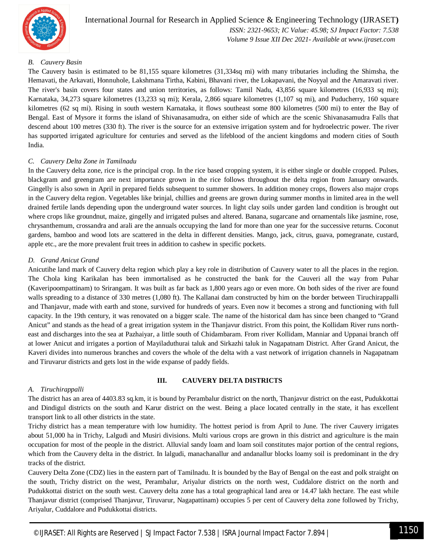

International Journal for Research in Applied Science & Engineering Technology (IJRASET**)**  *ISSN: 2321-9653; IC Value: 45.98; SJ Impact Factor: 7.538 Volume 9 Issue XII Dec 2021- Available at www.ijraset.com*

#### *B. Cauvery Basin*

The Cauvery basin is estimated to be 81,155 square kilometres (31,334sq mi) with many tributaries including the Shimsha, the Hemavati, the Arkavati, Honnuhole, Lakshmana Tirtha, Kabini, Bhavani river, the Lokapavani, the Noyyal and the Amaravati river. The river's basin covers four states and union territories, as follows: Tamil Nadu, 43,856 square kilometres (16,933 sq mi); Karnataka, 34,273 square kilometres (13,233 sq mi); Kerala, 2,866 square kilometres (1,107 sq mi), and Puducherry, 160 square kilometres (62 sq mi). Rising in south western Karnataka, it flows southeast some 800 kilometres (500 mi) to enter the Bay of Bengal. East of Mysore it forms the island of Shivanasamudra, on either side of which are the scenic Shivanasamudra Falls that descend about 100 metres (330 ft). The river is the source for an extensive irrigation system and for hydroelectric power. The river has supported irrigated agriculture for centuries and served as the lifeblood of the ancient kingdoms and modern cities of South India.

#### *C. Cauvery Delta Zone in Tamilnadu*

In the Cauvery delta zone, rice is the principal crop. In the rice based cropping system, it is either single or double cropped. Pulses, blackgram and greengram are next importance grown in the rice follows throughout the delta region from January onwards. Gingelly is also sown in April in prepared fields subsequent to summer showers. In addition money crops, flowers also major crops in the Cauvery delta region. Vegetables like brinjal, chillies and greens are grown during summer months in limited area in the well drained fertile lands depending upon the underground water sources. In light clay soils under garden land condition is brought out where crops like groundnut, maize, gingelly and irrigated pulses and altered. Banana, sugarcane and ornamentals like jasmine, rose, chrysanthemum, crossandra and arali are the annuals occupying the land for more than one year for the successive returns. Coconut gardens, bamboo and wood lots are scattered in the delta in different densities. Mango, jack, citrus, guava, pomegranate, custard, apple etc., are the more prevalent fruit trees in addition to cashew in specific pockets.

#### *D. Grand Anicut Grand*

Anicutihe land mark of Cauvery delta region which play a key role in distribution of Cauvery water to all the places in the region. The Chola king Karikalan has been immortalised as he constructed the bank for the Cauveri all the way from Puhar (Kaveripoompattinam) to Srirangam. It was built as far back as 1,800 years ago or even more. On both sides of the river are found walls spreading to a distance of 330 metres (1,080 ft). The Kallanai dam constructed by him on the border between Tiruchirappalli and Thanjavur, made with earth and stone, survived for hundreds of years. Even now it becomes a strong and functioning with full capacity. In the 19th century, it was renovated on a bigger scale. The name of the historical dam has since been changed to "Grand Anicut" and stands as the head of a great irrigation system in the Thanjavur district. From this point, the Kollidam River runs northeast and discharges into the sea at Pazhaiyar, a little south of Chidambaram. From river Kollidam, Manniar and Uppanai branch off at lower Anicut and irrigates a portion of Mayiladuthurai taluk and Sirkazhi taluk in Nagapatnam District. After Grand Anicut, the Kaveri divides into numerous branches and covers the whole of the delta with a vast network of irrigation channels in Nagapatnam and Tiruvarur districts and gets lost in the wide expanse of paddy fields.

#### *A. Tiruchirappalli*

#### **III. CAUVERY DELTA DISTRICTS**

The district has an area of 4403.83 sq.km, it is bound by Perambalur district on the north, Thanjavur district on the east, Pudukkottai and Dindigul districts on the south and Karur district on the west. Being a place located centrally in the state, it has excellent transport link to all other districts in the state.

Trichy district has a mean temperature with low humidity. The hottest period is from April to June. The river Cauvery irrigates about 51,000 ha in Trichy, Lalgudi and Musiri divisions. Multi various crops are grown in this district and agriculture is the main occupation for most of the people in the district. Alluvial sandy loam and loam soil constitutes major portion of the central regions, which from the Cauvery delta in the district. In lalgudi, manachanallur and andanallur blocks loamy soil is predominant in the dry tracks of the district.

Cauvery Delta Zone (CDZ) lies in the eastern part of Tamilnadu. It is bounded by the Bay of Bengal on the east and polk straight on the south, Trichy district on the west, Perambalur, Ariyalur districts on the north west, Cuddalore district on the north and Pudukkottai district on the south west. Cauvery delta zone has a total geographical land area or 14.47 lakh hectare. The east while Thanjavur district (comprised Thanjavur, Tiruvarur, Nagapattinam) occupies 5 per cent of Cauvery delta zone followed by Trichy, Ariyalur, Cuddalore and Pudukkottai districts.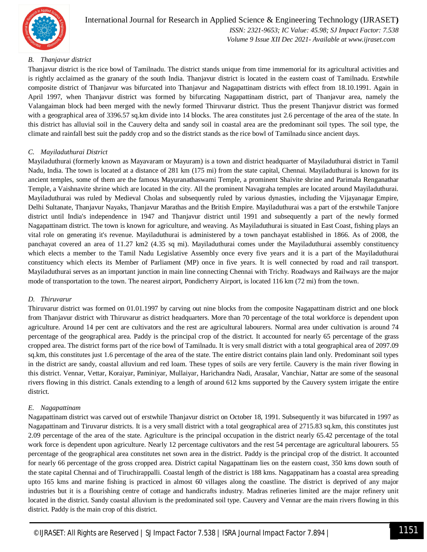

#### *B. Thanjavur district*

Thanjavur district is the rice bowl of Tamilnadu. The district stands unique from time immemorial for its agricultural activities and is rightly acclaimed as the granary of the south India. Thanjavur district is located in the eastern coast of Tamilnadu. Erstwhile composite district of Thanjavur was bifurcated into Thanjavur and Nagapattinam districts with effect from 18.10.1991. Again in April 1997, when Thanjavur district was formed by bifurcating Nagapattinam district, part of Thanjavur area, namely the Valangaiman block had been merged with the newly formed Thiruvarur district. Thus the present Thanjavur district was formed with a geographical area of 3396.57 sq.km divide into 14 blocks. The area constitutes just 2.6 percentage of the area of the state. In this district has alluvial soil in the Cauvery delta and sandy soil in coastal area are the predominant soil types. The soil type, the climate and rainfall best suit the paddy crop and so the district stands as the rice bowl of Tamilnadu since ancient days.

#### *C. Mayiladuthurai District*

Mayiladuthurai (formerly known as Mayavaram or Mayuram) is a town and district headquarter of Mayiladuthurai district in Tamil Nadu, India. The town is located at a distance of 281 km (175 mi) from the state capital, Chennai. Mayiladuthurai is known for its ancient temples, some of them are the famous Mayuranathaswami Temple, a prominent Shaivite shrine and Parimala Renganathar Temple, a Vaishnavite shrine which are located in the city. All the prominent Navagraha temples are located around Mayiladuthurai. Mayiladuthurai was ruled by Medieval Cholas and subsequently ruled by various dynasties, including the Vijayanagar Empire, Delhi Sultanate, Thanjavur Nayaks, Thanjavur Marathas and the British Empire. Mayiladuthurai was a part of the erstwhile Tanjore district until India's independence in 1947 and Thanjavur district until 1991 and subsequently a part of the newly formed Nagapattinam district. The town is known for agriculture, and weaving. As Mayiladuthurai is situated in East Coast, fishing plays an vital role on generating it's revenue. Mayiladuthurai is administered by a town panchayat established in 1866. As of 2008, the panchayat covered an area of 11.27 km2 (4.35 sq mi). Mayiladuthurai comes under the Mayiladuthurai assembly constituency which elects a member to the Tamil Nadu Legislative Assembly once every five years and it is a part of the Mayiladuthurai constituency which elects its Member of Parliament (MP) once in five years. It is well connected by road and rail transport. Mayiladuthurai serves as an important junction in main line connecting Chennai with Trichy. Roadways and Railways are the major mode of transportation to the town. The nearest airport, Pondicherry Airport, is located 116 km (72 mi) from the town.

#### *D. Thiruvarur*

Thiruvarur district was formed on 01.01.1997 by carving out nine blocks from the composite Nagapattinam district and one block from Thanjavur district with Thiruvarur as district headquarters. More than 70 percentage of the total workforce is dependent upon agriculture. Around 14 per cent are cultivators and the rest are agricultural labourers. Normal area under cultivation is around 74 percentage of the geographical area. Paddy is the principal crop of the district. It accounted for nearly 65 percentage of the grass cropped area. The district forms part of the rice bowl of Tamilnadu. It is very small district with a total geographical area of 2097.09 sq.km, this constitutes just 1.6 percentage of the area of the state. The entire district contains plain land only. Predominant soil types in the district are sandy, coastal alluvium and red loam. These types of soils are very fertile. Cauvery is the main river flowing in this district. Vennar, Vettar, Koraiyar, Paminiyar, Mullaiyar, Harichandra Nadi, Arasalar, Vanchiar, Nattar are some of the seasonal rivers flowing in this district. Canals extending to a length of around 612 kms supported by the Cauvery system irrigate the entire district.

#### *E. Nagapattinam*

Nagapattinam district was carved out of erstwhile Thanjavur district on October 18, 1991. Subsequently it was bifurcated in 1997 as Nagapattinam and Tiruvarur districts. It is a very small district with a total geographical area of 2715.83 sq.km, this constitutes just 2.09 percentage of the area of the state. Agriculture is the principal occupation in the district nearly 65.42 percentage of the total work force is dependent upon agriculture. Nearly 12 percentage cultivators and the rest 54 percentage are agricultural labourers. 55 percentage of the geographical area constitutes net sown area in the district. Paddy is the principal crop of the district. It accounted for nearly 66 percentage of the gross cropped area. District capital Nagapattinam lies on the eastern coast, 350 kms down south of the state capital Chennai and of Tiruchirappalli. Coastal length of the district is 188 kms. Nagappatinam has a coastal area spreading upto 165 kms and marine fishing is practiced in almost 60 villages along the coastline. The district is deprived of any major industries but it is a flourishing centre of cottage and handicrafts industry. Madras refineries limited are the major refinery unit located in the district. Sandy coastal alluvium is the predominated soil type. Cauvery and Vennar are the main rivers flowing in this district. Paddy is the main crop of this district.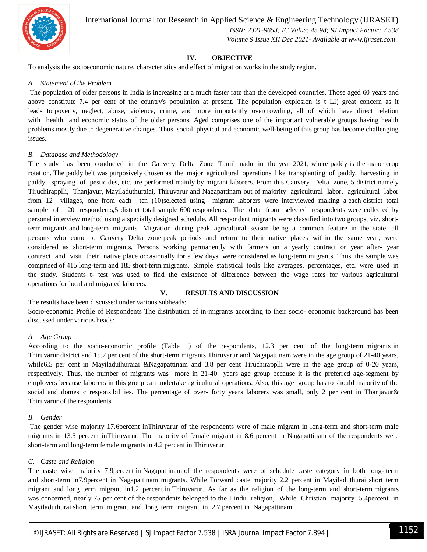

International Journal for Research in Applied Science & Engineering Technology (IJRASET**)**

 *ISSN: 2321-9653; IC Value: 45.98; SJ Impact Factor: 7.538 Volume 9 Issue XII Dec 2021- Available at www.ijraset.com*

#### **IV. OBJECTIVE**

To analysis the socioeconomic nature, characteristics and effect of migration works in the study region.

#### *A. Statement of the Problem*

The population of older persons in India is increasing at a much faster rate than the developed countries. Those aged 60 years and above constitute 7.4 per cent of the country's population at present. The population explosion is t LI) great concern as it leads to poverty, neglect, abuse, violence, crime, and more importantly overcrowding, all of which have direct relation with health and economic status of the older persons. Aged comprises one of the important vulnerable groups having health problems mostly due to degenerative changes. Thus, social, physical and economic well-being of this group has become challenging issues.

#### *B. Database and Methodology*

The study has been conducted in the Cauvery Delta Zone Tamil nadu in the year 2021, where paddy is the major crop rotation. The paddy belt was purposively chosen as the major agricultural operations like transplanting of paddy, harvesting in paddy, spraying of pesticides, etc. are performed mainly by migrant laborers. From this Cauvery Delta zone, 5 district namely Tiruchirapplli, Thanjavur, Mayiladuthuraiai, Thiruvarur and Nagapattinam out of majority agricultural labor. agricultural labor from 12 villages, one from each ten (10)selected using migrant laborers were interviewed making a each district total sample of 120 respondents,5 district total sample 600 respondents. The data from selected respondents were collected by personal interview method using a specially designed schedule. All respondent migrants were classified into two groups, viz. shortterm migrants and long-term migrants. Migration during peak agricultural season being a common feature in the state, all persons who come to Cauvery Delta zone peak periods and return to their native places within the same year, were considered as short-term migrants. Persons working permanently with farmers on a yearly contract or year after- year contract and visit their native place occasionally for a few days, were considered as long-term migrants. Thus, the sample was comprised of 415 long-term and 185 short-term migrants. Simple statistical tools like averages, percentages, etc. were used in the study. Students t- test was used to find the existence of difference between the wage rates for various agricultural operations for local and migrated laborers.

#### **V. RESULTS AND DISCUSSION**

The results have been discussed under various subheads:

Socio-economic Profile of Respondents The distribution of in-migrants according to their socio- economic background has been discussed under various heads:

#### *A. Age Group*

According to the socio-economic profile (Table 1) of the respondents, 12.3 per cent of the long-term migrants in Thiruvarur district and 15.7 per cent of the short-term migrants Thiruvarur and Nagapattinam were in the age group of 21-40 years, while6.5 per cent in Mayiladuthuraiai &Nagapattinam and 3.8 per cent Tiruchirapplli were in the age group of 0-20 years, respectively. Thus, the number of migrants was more in 21-40 years age group because it is the preferred age-segment by employers because laborers in this group can undertake agricultural operations. Also, this age group has to should majority of the social and domestic responsibilities. The percentage of over- forty years laborers was small, only 2 per cent in Thanjavur& Thiruvarur of the respondents.

#### *B. Gender*

The gender wise majority 17.6percent inThiruvarur of the respondents were of male migrant in long-term and short-term male migrants in 13.5 percent inThiruvarur. The majority of female migrant in 8.6 percent in Nagapattinam of the respondents were short-term and long-term female migrants in 4.2 percent in Thiruvarur.

#### *C. Caste and Religion*

The caste wise majority 7.9percent in Nagapattinam of the respondents were of schedule caste category in both long- term and short-term in7.9percent in Nagapattinam migrants. While Forward caste majority 2.2 percent in Mayiladuthurai short term migrant and long term migrant in1.2 percent in Thiruvarur. As far as the religion of the long-term and short-term migrants was concerned, nearly 75 per cent of the respondents belonged to the Hindu religion, While Christian majority 5.4percent in Mayiladuthurai short term migrant and long term migrant in 2.7 percent in Nagapattinam.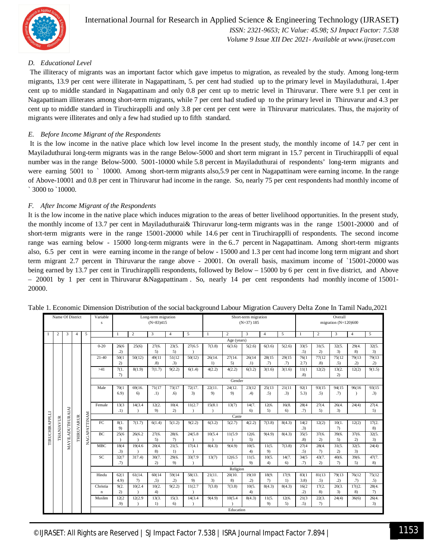

#### *D. Educational Level*

The illiteracy of migrants was an important factor which gave impetus to migration, as revealed by the study. Among long-term migrants, 13.9 per cent were illiterate in Nagapattinam, 5. per cent had studied up to the primary level in Mayiladuthurai, 1.4per cent up to middle standard in Nagapattinam and only 0.8 per cent up to metric level in Thiruvarur. There were 9.1 per cent in Nagapattinam illiterates among short-term migrants, while 7 per cent had studied up to the primary level in Thiruvarur and 4.3 per cent up to middle standard in Tiruchirapplli and only 3.8 per cent per cent were in Thiruvarur matriculates. Thus, the majority of migrants were illiterates and only a few had studied up to fifth standard.

#### *E. Before Income Migrant of the Respondents*

It is the low income in the native place which low level income In the present study, the monthly income of 14.7 per cent in Mayiladuthurai long-term migrants was in the range Below-5000 and short term migrant in 15.7 percent in Tiruchirapplli of equal number was in the range Below-5000. 5001-10000 while 5.8 percent in Mayiladuthurai of respondents' long-term migrants and were earning 5001 to ` 10000. Among short-term migrants also, 5.9 per cent in Nagapattinam were earning income. In the range of Above-10001 and 0.8 per cent in Thiruvarur had income in the range. So, nearly 75 per cent respondents had monthly income of ` 3000 to `10000.

#### *F. After Income Migrant of the Respondents*

It is the low income in the native place which induces migration to the areas of better livelihood opportunities. In the present study, the monthly income of 13.7 per cent in Mayiladuthurai& Thiruvarur long-term migrants was in the range 15001-20000 and of short-term migrants were in the range 15001-20000 while 14.6 per cent in Tiruchirapplli of respondents. The second income range was earning below - 15000 long-term migrants were in the 6..7 percent in Nagapattinam. Among short-term migrants also, 6.5 per cent in were earning income in the range of below - 15000 and 1.3 per cent had income long term migrant and short term migrant 2.7 percent in Thiruvarur the range above - 20001. On overall basis, maximum income of `15001-20000 was being earned by 13.7 per cent in Tiruchirapplli respondents, followed by Below – 15000 by 6 per cent in five district, and Above – 20001 by 1 per cent in Thiruvarur &Nagapattinam . So, nearly 14 per cent respondents had monthly income of 15001- 20000.

| Name Of District                                 |                  |                         |            |              | Variable<br>Long-term migration<br>$(N=83)415$<br>s |                     |                |        |        |                | Short-term migration<br>$(N=37)$ 185 |                    |               |                     |        | Overall<br>migration $(N=120)600$ |                |               |           |        |
|--------------------------------------------------|------------------|-------------------------|------------|--------------|-----------------------------------------------------|---------------------|----------------|--------|--------|----------------|--------------------------------------|--------------------|---------------|---------------------|--------|-----------------------------------|----------------|---------------|-----------|--------|
| 5<br>$\overline{c}$<br>3<br>$\overline{4}$<br>-1 |                  |                         |            | $\mathbf{1}$ | $\overline{c}$                                      | 3                   | $\overline{4}$ | 5      | -1     | $\overline{c}$ | 3                                    | $\overline{4}$     | 5             | 1                   | 2      | 3                                 | $\overline{4}$ | 5             |           |        |
|                                                  |                  |                         |            |              | Age (years)                                         |                     |                |        |        |                |                                      |                    |               |                     |        |                                   |                |               |           |        |
| TIRUCHIRAPPLLI                                   |                  | <b>MAYILADUTHURAIAI</b> | THIRUVARUR |              | $0 - 20$                                            | 26(6)               | 25(6)          | 27(6.  | 23(5.  | 27(6.5)        | 7(3.8)                               | 6(3.6)             | 5(2.6)        | 6(3.6)              | 5(2.6) | 33(5)                             | 31(5.          | 32(5.         | 29(4.     | 32(5.  |
|                                                  |                  |                         |            |              |                                                     | .2)                 |                | 5)     | 5)     |                |                                      |                    |               |                     |        | .5)                               | 2)             | 3)            | 8)        | 3)     |
|                                                  |                  |                         |            |              | $21-40$                                             | 50(1)               | 50(12)         | 49(11  | 51(12) | 50(12)         | 26(14.                               | 27(14.             | 26(14)        | 28(15)              | 29(15) | 76(1)                             | 77(12          | 75(12         | 79(13)    | 79(13) |
|                                                  |                  |                         |            |              |                                                     | (2)                 |                | (8)    | .3)    |                | $\left( \right)$                     | 5)                 | .1)           | (7)                 | (7)    | 2.7)                              | .8)            | .5)           | (2)       | (2)    |
|                                                  |                  |                         |            |              | >41                                                 | 7(1.                | 8(1.9)         | 7(1.7) | 9(2.2) | 6(1.4)         | 4(2.2)                               | 4(2.2)             | 6(3.2)        | 3(1.6)              | 3(1.6) | 11(1)                             | 12(2)          | 13(2.         | 12(2)     | 9(1.5) |
|                                                  |                  |                         |            |              |                                                     | $\tau$<br>.8)<br>2) |                |        |        |                |                                      |                    |               |                     |        |                                   |                |               |           |        |
|                                                  |                  |                         |            |              |                                                     | Gender              |                |        |        |                |                                      |                    |               |                     |        |                                   |                |               |           |        |
|                                                  |                  |                         |            |              | Male                                                | 70(1)               | 69(16.         | 71(17  | 73(17  | 72(17.         | 22(11.                               | 24(12)             | 23(12)        | 25(13)              | 21(11) | 92(1)                             | 93(15          | 94(15         | 96(16)    | 93(15  |
|                                                  |                  |                         |            |              |                                                     | 6.9)                | 6)             | .1)    | .6)    | 3)             | 9)                                   | 9)                 | $\mathcal{A}$ | .5)                 | .3)    | 5.3)                              | .5)            | (7)           | $\lambda$ | .3)    |
|                                                  |                  |                         |            |              | Female                                              | 13(3)               | 14(3.4)        | 12(2.  | 10(4.  | 11(2.7)        | 15(8.1)                              | 13(7)              | 14(7.         | 12(6.               | 16(8.  | 28(4)                             | 27(4.          | 26(4.         | 24(4)     | 27(4.  |
|                                                  |                  |                         |            |              |                                                     | .1)                 |                | 9)     | 2)     |                |                                      |                    | 6)            | 5)                  | 6)     | (7)                               | 5)             | 3)            |           | 5)     |
|                                                  |                  |                         |            | NAGAPATTINAM | Caste                                               |                     |                |        |        |                |                                      |                    |               |                     |        |                                   |                |               |           |        |
|                                                  | <b>THANJAVUR</b> |                         |            |              | FC                                                  | 8(1.                | 7(1.7)         | 6(1.4) | 5(1.2) | 9(2.2)         | 6(3.2)                               | 5(2.7)             | 4(2.2)        | $\overline{7(3.8)}$ | 8(4.3) | 14(2)                             | 12(2)          | 10(1.         | 12(2)     | 17(2.  |
|                                                  |                  |                         |            |              |                                                     | 9)                  |                |        |        |                |                                      |                    |               |                     |        | .3)                               |                | $\mathcal{L}$ |           | 8)     |
|                                                  |                  |                         |            |              | BC                                                  | 25(6)               | 26(6.2)        | 27(6.  | 28(6.  | 24(5.8)        | 10(5.4)                              | 11(5.9)            | 12(6.         | 9(4.9)              | 8(4.3) | 35(5)                             | 37(6.          | 39(6.         | 37(6.     | 32(5.  |
|                                                  |                  |                         |            |              |                                                     |                     |                | 5)     | 7)     |                |                                      |                    | 5)            |                     |        | .8)                               | (2)            | 5)            | (2)       | 3)     |
|                                                  |                  |                         |            |              | <b>MBC</b>                                          | 18(4                | 19(4.6)        | 20(4.  | 21(5.  | 17(4.1)        | 8(4.3)                               | 9(4.9)             | 10(5.         | 11(5.               | 7(3.8) | 27(4)                             | 28(4.          | 31(5.         | 32(5.     | 24(4)  |
|                                                  |                  |                         |            |              |                                                     | .3)                 |                | 8)     | 1)     |                |                                      |                    | 4)            | 9)                  |        | .5)                               | 7)             | 2)            | 3)        |        |
|                                                  |                  |                         |            |              | SC                                                  | 32(7                | 317.4          | 30(7.  | 29(6.  | 33(7.9)        | 13(7)                                | 12(6.5)            | 11(5.<br>9)   | 10(5.<br>4)         | 14(7.  | 34(5)                             | 43(7.<br>(2)   | 40(6.         | 39(6.     | 47(7.  |
|                                                  |                  |                         |            |              |                                                     | (7)                 |                | 2)     | 9)     |                |                                      |                    |               |                     | 6)     | .7)                               |                | $\mathcal{L}$ | 5)        | 8)     |
|                                                  |                  |                         |            |              | Hindu                                               | 62(1)               | 61(14.         | 60(14  | 59(14) | 58(13.         | 21(11.                               | Religion<br>20(10. | 19(10)        | 18(9.               | 17(9.  | 83(1                              | 81(13)         | 79(13)        | 76(12     | 75(12) |
|                                                  |                  |                         |            |              |                                                     | 4.9)                | 7)             | , 5)   | .2)    | 9)             | 3)                                   | 8)                 | .2)           | $\tau$              | 1)     | 3.8)                              | .5)            | .2)           | (7)       | .5)    |
|                                                  |                  |                         |            |              | Christia                                            | 9(2.                | 10(2.4)        | 10(2.  | 9(2.2) | 11(2.7)        | 7(3.8)                               | 7(3.8)             | 10(5.         | 8(4.3)              | 8(4.3) | 16(2)                             | 17(2.          | 20(3.         | 17( (2.   | 28(4.  |
|                                                  |                  |                         |            |              | $\mathbf n$                                         | 2)                  |                | 4)     |        |                |                                      |                    | 4)            |                     |        | .2)                               | 8)             | 3)            | 8)        | $\tau$ |
|                                                  |                  |                         |            |              | Muslim                                              | 12(2)               | 12(2.9)        | 13(3.  | 15(3.  | 14(3.4)        | 9(4.9)                               | 10(5.4)            | 8(4.3)        | 11(5.               | 12(6.  | 21(3)                             | 22(3.          | 24(4)         | 36(6)     | 26(4.  |
|                                                  |                  |                         |            |              |                                                     | .9)                 |                | 1)     | 6)     |                |                                      |                    |               | 9)                  | 5)     | .5)                               | 7)             |               |           | 3)     |
|                                                  | Education        |                         |            |              |                                                     |                     |                |        |        |                |                                      |                    |               |                     |        |                                   |                |               |           |        |

Table 1. Economic Dimension Distribution of the social background Labour Migration Cauvery Delta Zone In Tamil Nadu,2021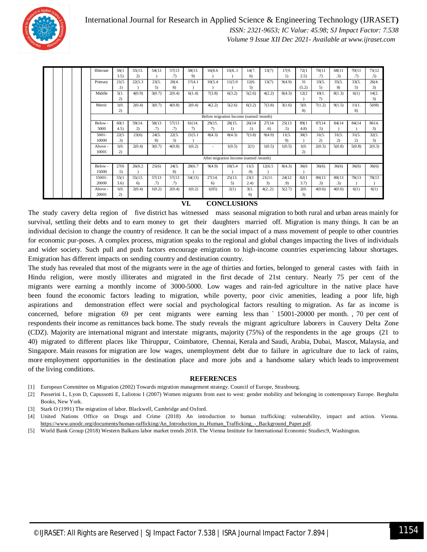

|  |  | Illiterate                              | 56(1         | 55(13.  | 54(13) | 57(13) | 58(13.        | 16(8.6)        | 15(8.1) | 14(7.  | 13(7)           | 17(9.            | 72(1) | 70(11        | 68(11  | 70(11        | 75(12) |
|--|--|-----------------------------------------|--------------|---------|--------|--------|---------------|----------------|---------|--------|-----------------|------------------|-------|--------------|--------|--------------|--------|
|  |  |                                         | 3.5)         | 2)      |        | (7)    | 9)            |                |         | 6)     |                 | $\left( \right)$ | (2.5) | (7)          | .3)    | (7)          | .5)    |
|  |  | Primary                                 | 21(5         | 22(5.3) | 23(5.  | 20(4.  | 17(4.1)       | 10(5.4)        | 11(5.9) | 12(6.  | 13(7)           | 9(4.9)           | 31    | 33(5.        | 35(5.  | 33(5.        | 26(4.  |
|  |  |                                         | .1)          |         | 5)     | 8)     |               |                |         | 5)     |                 |                  | (5.2) | 5)           | 8)     | 5)           | 3)     |
|  |  | Middle                                  | 5(1,         | 4(0.9)  | 3(0.7) | 2(0.4) | 6(1.4)        | 7(3.8)         | 6(3.2)  | 5(2.6) | 4(2.2)          | 8(4.3)           | 12(2) | 10(1.        | 8(1.3) | 6(1)         | 14(2.  |
|  |  |                                         | 2)           |         |        |        |               |                |         |        |                 |                  |       | 7)           |        |              | 3)     |
|  |  | Metric                                  | 1(0.         | 2(0.4)  | 3(0.7) | 4(0.8) | 2(0.4)        | 4(2.2)         | 5(2.6)  | 6(3.2) | 7(3.8)          | 3(1.6)           | 5(0.  | 7(1.2)       | 9(1.5) | 11(1.        | 5(08)  |
|  |  |                                         | 2)           |         |        |        |               |                |         |        |                 |                  | 8)    |              |        | 8)           |        |
|  |  | Before migration Income (earned /month) |              |         |        |        |               |                |         |        |                 |                  |       |              |        |              |        |
|  |  | Below-                                  | 60(1)        | 59(14.  | 58(13) | 57(13) | 61(14.        | 29(15.         | 28(15.  | 26(14) | 27(14)          | 25(13)           | 89(1  | 87(14)       | 84(14) | 84(14)       | 8614.  |
|  |  | 5000                                    | 4.5)         | 2)      | (7)    | .7)    | $\mathcal{L}$ | $\mathcal{D}$  | $_{1}$  | .1)    | .6 <sub>0</sub> | .5)              | 4.8)  | .5)          |        |              | 3)     |
|  |  | $5001 -$                                | 22(5)        | 23(6)   | 24(5.  | 22(5.  | 21(5.1)       | 8(4.3)         | 8(4.3)  | 7(3.8) | 9(4.9)          | 11(5.            | 30(5) | 31(5.        | 31(5.  | 31(5.        | 32(5.  |
|  |  | 10000                                   | .3)          |         | 8)     | 3)     |               |                |         |        |                 | 9)               |       | $\mathbf{2}$ | 2)     | $\mathbf{2}$ | 3)     |
|  |  | Above -                                 | 1(0.         | 2(0.4)  | 3(0.7) | 4(0.8) | 1(0.2)        | ٠              | 1(0.5)  | 2(1)   | 1(0.5)          | 1(0.5)           | 1(0.  | 2(0.3)       | 5(0.8) | 5(0.8)       | 2(0.3) |
|  |  | 10001                                   | 2)           |         |        |        |               |                |         |        |                 |                  | 2)    |              |        |              |        |
|  |  | After migration Income (earned /month)  |              |         |        |        |               |                |         |        |                 |                  |       |              |        |              |        |
|  |  | Below-                                  | 27(6)        | 26(6.2) | 25(6)  | 24(5.  | 28(6.7        | 9(4.9)         | 10(5.4) | 11(5   | 12(6.5)         | 8(4.3)           | 36(6) | 36(6)        | 36(6)  | 36(6)        | 36(6)  |
|  |  | 15000                                   | .5)          |         |        | 8)     |               |                |         | .9)    |                 |                  |       |              |        |              |        |
|  |  | 15001-                                  | 55(1)        | 55(13.  | 57(13) | 57(13) | 54(13)        | 27(14.         | 25(13.  | 23(1)  | 21(11.          | 24(12)           | 82(1) | 80(13)       | 80(13) | 78(13)       | 78(13) |
|  |  | 20000                                   | 3.6)         | 6)      | (7)    | (7)    |               | 6 <sup>o</sup> | 5)      | (2.4)  | 3)              | .9)              | 3.7)  | .3)          | .3)    |              |        |
|  |  | Above -                                 | 1(0.         | 2(0.4)  | 1(0.2) | 2(0.4) | 1(0.2)        | 1(05)          | 2(1)    | 3(1.   | 4(22)           | 5(2.7)           | 2(0.  | 4(0.6)       | 4(0.6) | 6(1)         | 6(1)   |
|  |  | 20001                                   | $\mathbf{2}$ |         |        |        |               |                |         | 6)     |                 |                  | 3)    |              |        |              |        |

#### **VI. CONCLUSIONS**

The study cavery delta region of five district has witnessed mass seasonal migration to both rural and urban areas mainly for survival, settling their debts and to earn money to get their daughters married off. Migration is many things. It can be an individual decision to change the country of residence. It can be the social impact of a mass movement of people to other countries for economic pur-poses. A complex process, migration speaks to the regional and global changes impacting the lives of individuals and wider society. Such pull and push factors encourage emigration to high-income countries experiencing labour shortages. Emigration has different impacts on sending country and destination country.

The study has revealed that most of the migrants were in the age of thirties and forties, belonged to general castes with faith in Hindu religion, were mostly illiterates and migrated in the first decade of 21st century. Nearly 75 per cent of the migrants were earning a monthly income of 3000-5000. Low wages and rain-fed agriculture in the native place have been found the economic factors leading to migration, while poverty, poor civic amenities, leading a poor life, high aspirations and demonstration effect were social and psychological factors resulting to migration. As far as income is concerned, before migration 69 per cent migrants were earning less than ` 15001-20000 per month. , 70 per cent of respondents their income as remittances back home. The study reveals the migrant agriculture laborers in Cauvery Delta Zone (CDZ). Majority are international migrant and interstate migrants, majority (75%) of the respondents in the age groups (21 to 40) migrated to different places like Thiruppur, Coimbatore, Chennai, Kerala and Saudi, Arabia, Dubai, Mascot, Malaysia, and Singapore. Main reasons for migration are low wages, unemployment debt due to failure in agriculture due to lack of rains, more employment opportunities in the destination place and more jobs and a handsome salary which leads to improvement of the living conditions.

#### **REFERENCES**

- [1] European Committee on Migration (2002) Towards migration management strategy. Council of Europe, Strasbourg.
- [2] Passerini L, Lyon D, Capussotti E, Laliotou I (2007) Women migrants from east to west: gender mobility and belonging in contemporary Europe. Berghahn Books, New York.
- [3] Stark O (1991) The migration of labor. Blackwell, Cambridge and Oxford.
- [4] United Nations Office on Drugs and Crime (2018) An introduction to human trafficking: vulnerability, impact and action. Vienna. https://www.unodc.org/documents/human-rafficking/An\_Introduction\_to\_Human\_Trafficking\_-\_Background\_Paper.pdf.
- [5] World Bank Group (2018) Western Balkans labor market trends 2018. The Vienna Institute for International Economic Studies:9, Washington.